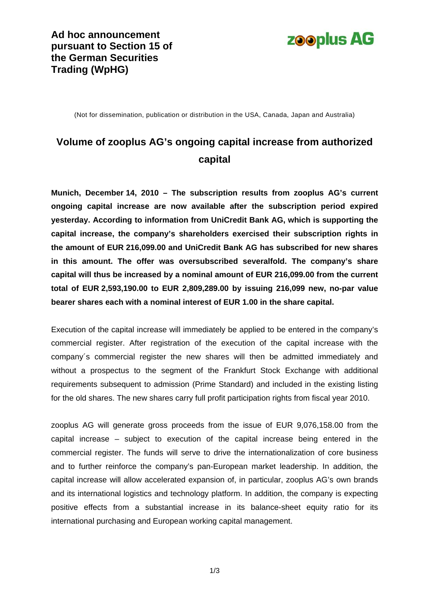

(Not for dissemination, publication or distribution in the USA, Canada, Japan and Australia)

## **Volume of zooplus AG's ongoing capital increase from authorized capital**

**Munich, December 14, 2010 – The subscription results from zooplus AG's current ongoing capital increase are now available after the subscription period expired yesterday. According to information from UniCredit Bank AG, which is supporting the capital increase, the company's shareholders exercised their subscription rights in the amount of EUR 216,099.00 and UniCredit Bank AG has subscribed for new shares in this amount. The offer was oversubscribed severalfold. The company's share capital will thus be increased by a nominal amount of EUR 216,099.00 from the current total of EUR 2,593,190.00 to EUR 2,809,289.00 by issuing 216,099 new, no-par value bearer shares each with a nominal interest of EUR 1.00 in the share capital.**

Execution of the capital increase will immediately be applied to be entered in the company's commercial register. After registration of the execution of the capital increase with the company´s commercial register the new shares will then be admitted immediately and without a prospectus to the segment of the Frankfurt Stock Exchange with additional requirements subsequent to admission (Prime Standard) and included in the existing listing for the old shares. The new shares carry full profit participation rights from fiscal year 2010.

zooplus AG will generate gross proceeds from the issue of EUR 9,076,158.00 from the capital increase – subject to execution of the capital increase being entered in the commercial register. The funds will serve to drive the internationalization of core business and to further reinforce the company's pan-European market leadership. In addition, the capital increase will allow accelerated expansion of, in particular, zooplus AG's own brands and its international logistics and technology platform. In addition, the company is expecting positive effects from a substantial increase in its balance-sheet equity ratio for its international purchasing and European working capital management.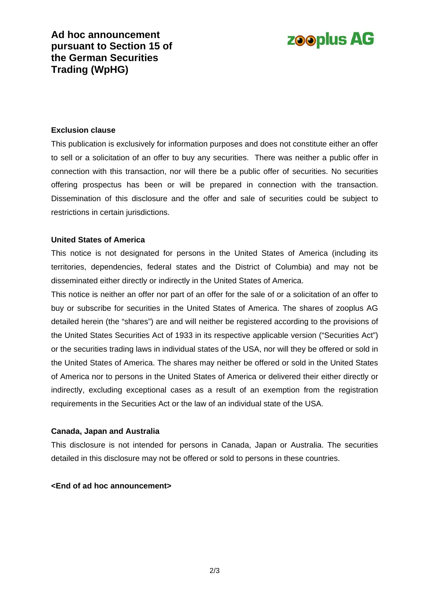**Ad hoc announcement pursuant to Section 15 of the German Securities Trading (WpHG)** 

# **zooplus AG**

#### **Exclusion clause**

This publication is exclusively for information purposes and does not constitute either an offer to sell or a solicitation of an offer to buy any securities. There was neither a public offer in connection with this transaction, nor will there be a public offer of securities. No securities offering prospectus has been or will be prepared in connection with the transaction. Dissemination of this disclosure and the offer and sale of securities could be subject to restrictions in certain jurisdictions.

#### **United States of America**

This notice is not designated for persons in the United States of America (including its territories, dependencies, federal states and the District of Columbia) and may not be disseminated either directly or indirectly in the United States of America.

This notice is neither an offer nor part of an offer for the sale of or a solicitation of an offer to buy or subscribe for securities in the United States of America. The shares of zooplus AG detailed herein (the "shares") are and will neither be registered according to the provisions of the United States Securities Act of 1933 in its respective applicable version ("Securities Act") or the securities trading laws in individual states of the USA, nor will they be offered or sold in the United States of America. The shares may neither be offered or sold in the United States of America nor to persons in the United States of America or delivered their either directly or indirectly, excluding exceptional cases as a result of an exemption from the registration requirements in the Securities Act or the law of an individual state of the USA.

#### **Canada, Japan and Australia**

This disclosure is not intended for persons in Canada, Japan or Australia. The securities detailed in this disclosure may not be offered or sold to persons in these countries.

#### **<End of ad hoc announcement>**